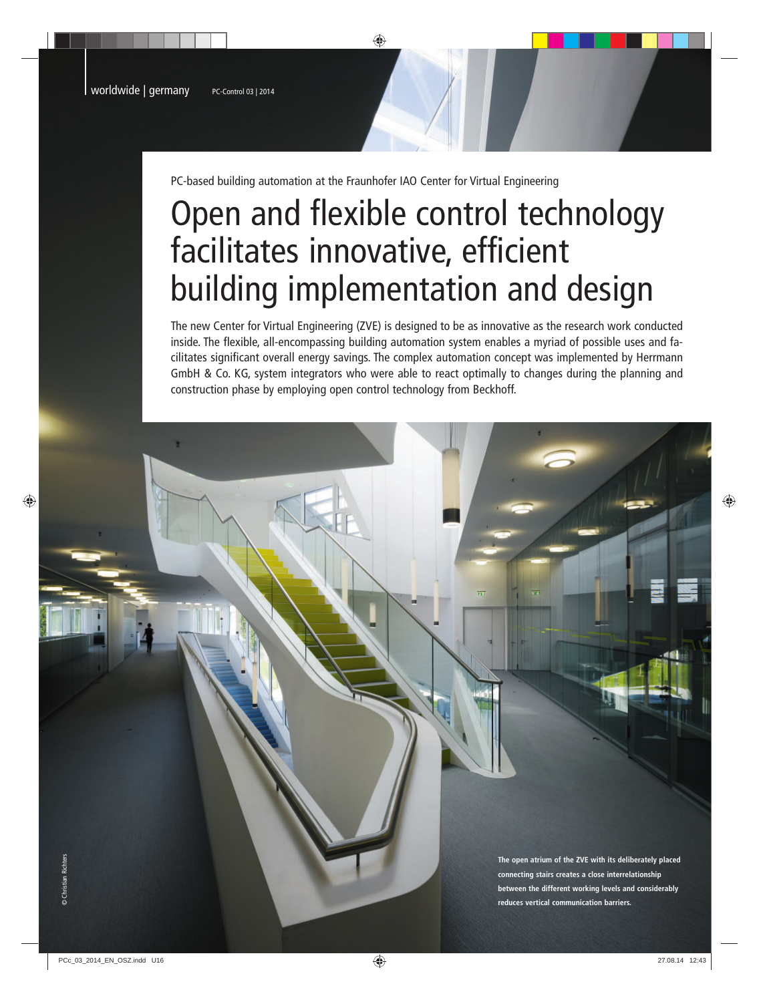PC-based building automation at the Fraunhofer IAO Center for Virtual Engineering

# Open and flexible control technology facilitates innovative, efficient building implementation and design

The new Center for Virtual Engineering (ZVE) is designed to be as innovative as the research work conducted inside. The flexible, all-encompassing building automation system enables a myriad of possible uses and facilitates significant overall energy savings. The complex automation concept was implemented by Herrmann GmbH & Co. KG, system integrators who were able to react optimally to changes during the planning and construction phase by employing open control technology from Beckhoff.

> **The open atrium of the ZVE with its deliberately placed connecting stairs creates a close interrelationship between the different working levels and considerably reduces vertical communication barriers.**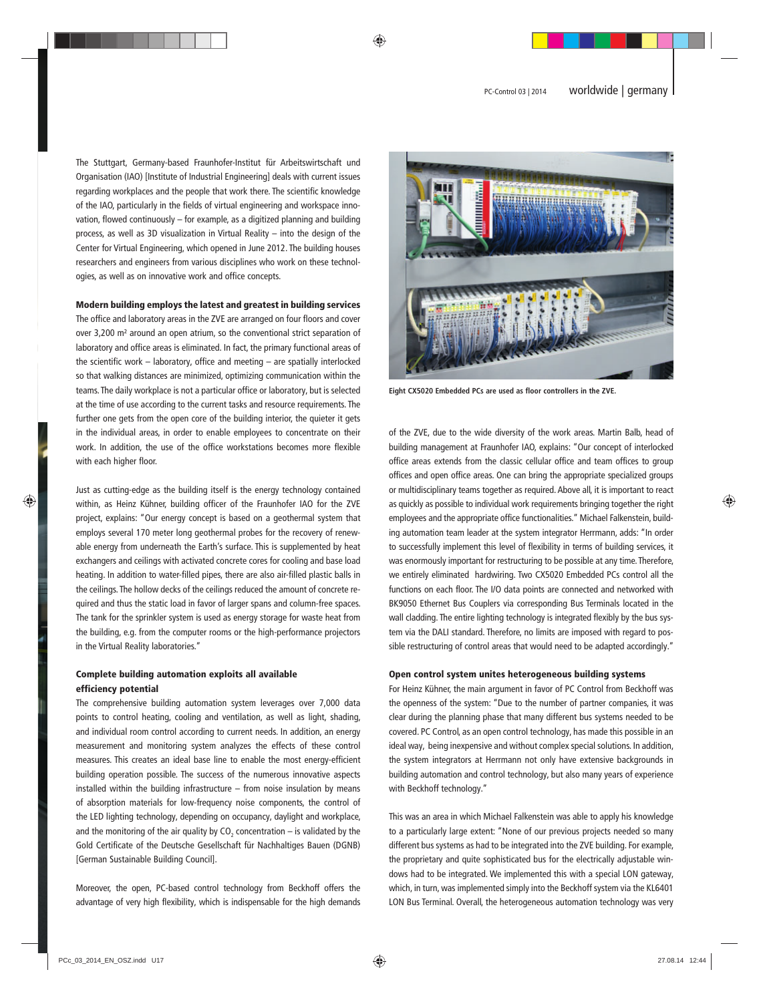The Stuttgart, Germany-based Fraunhofer-Institut für Arbeitswirtschaft und Organisation (IAO) [Institute of Industrial Engineering] deals with current issues regarding workplaces and the people that work there. The scientific knowledge of the IAO, particularly in the fields of virtual engineering and workspace innovation, flowed continuously – for example, as a digitized planning and building process, as well as 3D visualization in Virtual Reality – into the design of the Center for Virtual Engineering, which opened in June 2012. The building houses researchers and engineers from various disciplines who work on these technologies, as well as on innovative work and office concepts.

#### Modern building employs the latest and greatest in building services

The office and laboratory areas in the ZVE are arranged on four floors and cover over 3,200 m² around an open atrium, so the conventional strict separation of laboratory and office areas is eliminated. In fact, the primary functional areas of the scientific work – laboratory, office and meeting – are spatially interlocked so that walking distances are minimized, optimizing communication within the teams. The daily workplace is not a particular office or laboratory, but is selected at the time of use according to the current tasks and resource requirements. The further one gets from the open core of the building interior, the quieter it gets in the individual areas, in order to enable employees to concentrate on their work. In addition, the use of the office workstations becomes more flexible with each higher floor.

Just as cutting-edge as the building itself is the energy technology contained within, as Heinz Kühner, building officer of the Fraunhofer IAO for the ZVE project, explains: "Our energy concept is based on a geothermal system that employs several 170 meter long geothermal probes for the recovery of renewable energy from underneath the Earth's surface. This is supplemented by heat exchangers and ceilings with activated concrete cores for cooling and base load heating. In addition to water-filled pipes, there are also air-filled plastic balls in the ceilings. The hollow decks of the ceilings reduced the amount of concrete required and thus the static load in favor of larger spans and column-free spaces. The tank for the sprinkler system is used as energy storage for waste heat from the building, e.g. from the computer rooms or the high-performance projectors in the Virtual Reality laboratories."

## Complete building automation exploits all available efficiency potential

The comprehensive building automation system leverages over 7,000 data points to control heating, cooling and ventilation, as well as light, shading, and individual room control according to current needs. In addition, an energy measurement and monitoring system analyzes the effects of these control measures. This creates an ideal base line to enable the most energy-efficient building operation possible. The success of the numerous innovative aspects installed within the building infrastructure – from noise insulation by means of absorption materials for low-frequency noise components, the control of the LED lighting technology, depending on occupancy, daylight and workplace, and the monitoring of the air quality by  $CO_2$  concentration – is validated by the Gold Certificate of the Deutsche Gesellschaft für Nachhaltiges Bauen (DGNB) [German Sustainable Building Council].

Moreover, the open, PC-based control technology from Beckhoff offers the advantage of very high flexibility, which is indispensable for the high demands



**Eight CX5020 Embedded PCs are used as floor controllers in the ZVE.**

of the ZVE, due to the wide diversity of the work areas. Martin Balb, head of building management at Fraunhofer IAO, explains: "Our concept of interlocked office areas extends from the classic cellular office and team offices to group offices and open office areas. One can bring the appropriate specialized groups or multidisciplinary teams together as required. Above all, it is important to react as quickly as possible to individual work requirements bringing together the right employees and the appropriate office functionalities." Michael Falkenstein, building automation team leader at the system integrator Herrmann, adds: "In order to successfully implement this level of flexibility in terms of building services, it was enormously important for restructuring to be possible at any time. Therefore, we entirely eliminated hardwiring. Two CX5020 Embedded PCs control all the functions on each floor. The I/O data points are connected and networked with BK9050 Ethernet Bus Couplers via corresponding Bus Terminals located in the wall cladding. The entire lighting technology is integrated flexibly by the bus system via the DALI standard. Therefore, no limits are imposed with regard to possible restructuring of control areas that would need to be adapted accordingly."

#### Open control system unites heterogeneous building systems

For Heinz Kühner, the main argument in favor of PC Control from Beckhoff was the openness of the system: "Due to the number of partner companies, it was clear during the planning phase that many different bus systems needed to be covered. PC Control, as an open control technology, has made this possible in an ideal way, being inexpensive and without complex special solutions. In addition, the system integrators at Herrmann not only have extensive backgrounds in building automation and control technology, but also many years of experience with Beckhoff technology."

This was an area in which Michael Falkenstein was able to apply his knowledge to a particularly large extent: "None of our previous projects needed so many different bus systems as had to be integrated into the ZVE building. For example, the proprietary and quite sophisticated bus for the electrically adjustable windows had to be integrated. We implemented this with a special LON gateway, which, in turn, was implemented simply into the Beckhoff system via the KL6401 LON Bus Terminal. Overall, the heterogeneous automation technology was very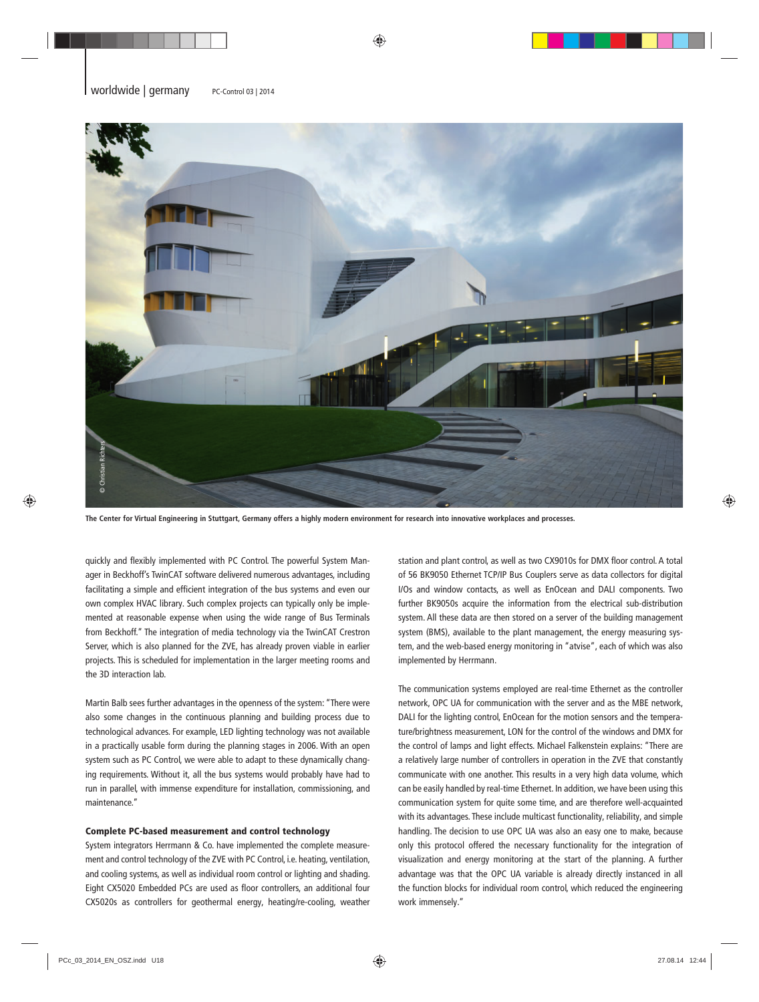

**The Center for Virtual Engineering in Stuttgart, Germany offers a highly modern environment for research into innovative workplaces and processes.**

quickly and flexibly implemented with PC Control. The powerful System Manager in Beckhoff's TwinCAT software delivered numerous advantages, including facilitating a simple and efficient integration of the bus systems and even our own complex HVAC library. Such complex projects can typically only be implemented at reasonable expense when using the wide range of Bus Terminals from Beckhoff." The integration of media technology via the TwinCAT Crestron Server, which is also planned for the ZVE, has already proven viable in earlier projects. This is scheduled for implementation in the larger meeting rooms and the 3D interaction lab.

Martin Balb sees further advantages in the openness of the system: "There were also some changes in the continuous planning and building process due to technological advances. For example, LED lighting technology was not available in a practically usable form during the planning stages in 2006. With an open system such as PC Control, we were able to adapt to these dynamically changing requirements. Without it, all the bus systems would probably have had to run in parallel, with immense expenditure for installation, commissioning, and maintenance."

### Complete PC-based measurement and control technology

System integrators Herrmann & Co. have implemented the complete measurement and control technology of the ZVE with PC Control, i.e. heating, ventilation, and cooling systems, as well as individual room control or lighting and shading. Eight CX5020 Embedded PCs are used as floor controllers, an additional four CX5020s as controllers for geothermal energy, heating/re-cooling, weather station and plant control, as well as two CX9010s for DMX floor control. A total of 56 BK9050 Ethernet TCP/IP Bus Couplers serve as data collectors for digital I/Os and window contacts, as well as EnOcean and DALI components. Two further BK9050s acquire the information from the electrical sub-distribution system. All these data are then stored on a server of the building management system (BMS), available to the plant management, the energy measuring system, and the web-based energy monitoring in "atvise", each of which was also implemented by Herrmann.

The communication systems employed are real-time Ethernet as the controller network, OPC UA for communication with the server and as the MBE network, DALI for the lighting control, EnOcean for the motion sensors and the temperature/brightness measurement, LON for the control of the windows and DMX for the control of lamps and light effects. Michael Falkenstein explains: "There are a relatively large number of controllers in operation in the ZVE that constantly communicate with one another. This results in a very high data volume, which can be easily handled by real-time Ethernet. In addition, we have been using this communication system for quite some time, and are therefore well-acquainted with its advantages. These include multicast functionality, reliability, and simple handling. The decision to use OPC UA was also an easy one to make, because only this protocol offered the necessary functionality for the integration of visualization and energy monitoring at the start of the planning. A further advantage was that the OPC UA variable is already directly instanced in all the function blocks for individual room control, which reduced the engineering work immensely."